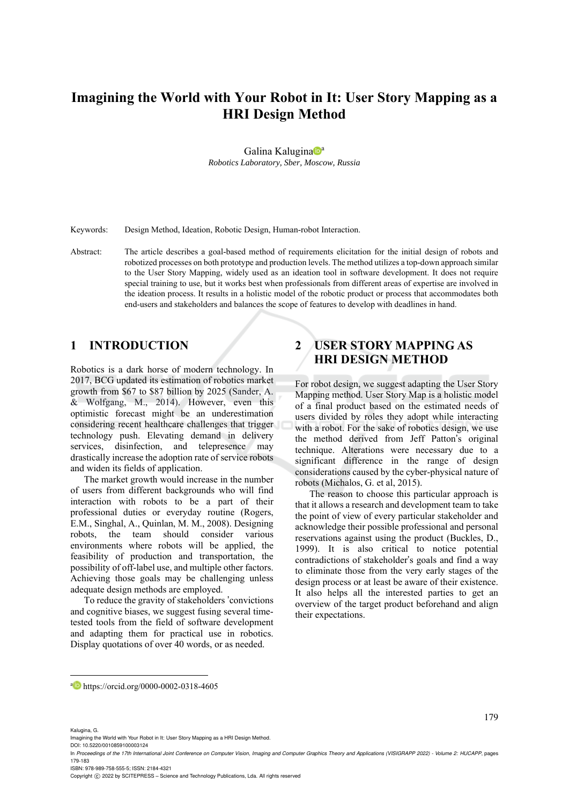# **Imagining the World with Your Robot in It: User Story Mapping as a HRI Design Method**

Galina Kalugina<sup>na</sup>

*Robotics Laboratory, Sber, Moscow, Russia* 

Keywords: Design Method, Ideation, Robotic Design, Human-robot Interaction.

Abstract: The article describes a goal-based method of requirements elicitation for the initial design of robots and robotized processes on both prototype and production levels. The method utilizes a top-down approach similar to the User Story Mapping, widely used as an ideation tool in software development. It does not require special training to use, but it works best when professionals from different areas of expertise are involved in the ideation process. It results in a holistic model of the robotic product or process that accommodates both end-users and stakeholders and balances the scope of features to develop with deadlines in hand.

## **1 INTRODUCTION**

Robotics is a dark horse of modern technology. In 2017, BCG updated its estimation of robotics market growth from \$67 to \$87 billion by 2025 (Sander, A. & Wolfgang, M., 2014). However, even this optimistic forecast might be an underestimation considering recent healthcare challenges that trigger technology push. Elevating demand in delivery services, disinfection, and telepresence may drastically increase the adoption rate of service robots and widen its fields of application.

The market growth would increase in the number of users from different backgrounds who will find interaction with robots to be a part of their professional duties or everyday routine (Rogers, E.M., Singhal, A., Quinlan, M. M., 2008). Designing robots, the team should consider various environments where robots will be applied, the feasibility of production and transportation, the possibility of off-label use, and multiple other factors. Achieving those goals may be challenging unless adequate design methods are employed.

To reduce the gravity of stakeholders 'convictions and cognitive biases, we suggest fusing several timetested tools from the field of software development and adapting them for practical use in robotics. Display quotations of over 40 words, or as needed.

## **2 USER STORY MAPPING AS HRI DESIGN METHOD**

For robot design, we suggest adapting the User Story Mapping method. User Story Map is a holistic model of a final product based on the estimated needs of users divided by roles they adopt while interacting with a robot. For the sake of robotics design, we use the method derived from Jeff Patton's original technique. Alterations were necessary due to a significant difference in the range of design considerations caused by the cyber-physical nature of robots (Michalos, G. et al, 2015).

The reason to choose this particular approach is that it allows a research and development team to take the point of view of every particular stakeholder and acknowledge their possible professional and personal reservations against using the product (Buckles, D., 1999). It is also critical to notice potential contradictions of stakeholder's goals and find a way to eliminate those from the very early stages of the design process or at least be aware of their existence. It also helps all the interested parties to get an overview of the target product beforehand and align their expectations.

179

DOI: 10.5220/0010859100003124

ISBN: 978-989-758-555-5; ISSN: 2184-4321

Copyright © 2022 by SCITEPRESS - Science and Technology Publications, Lda. All rights reserved

a https://orcid.org/0000-0002-0318-4605

Kalugina, G.

Imagining the World with Your Robot in It: User Story Mapping as a HRI Design Method.

In *Proceedings of the 17th International Joint Conference on Computer Vision, Imaging and Computer Graphics Theory and Applications (VISIGRAPP 2022) - Volume 2: HUCAPP*, pages 179-183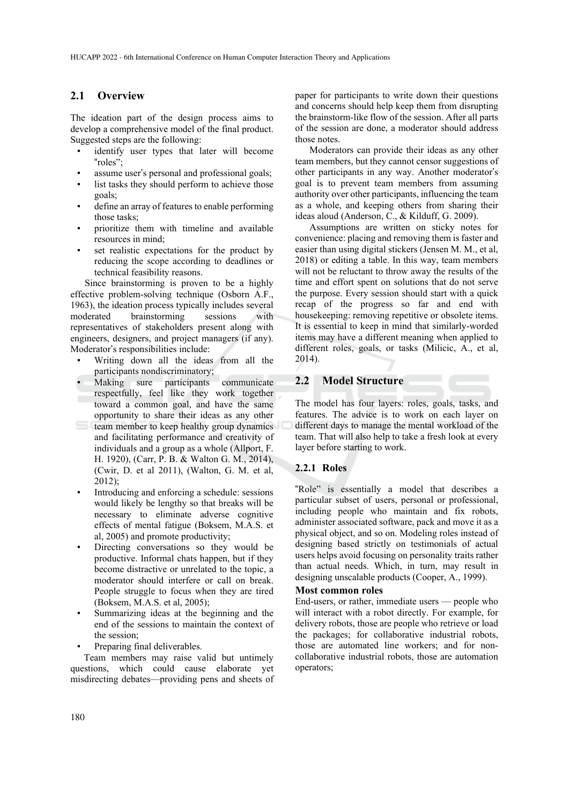#### **2.1 Overview**

The ideation part of the design process aims to develop a comprehensive model of the final product. Suggested steps are the following:

- identify user types that later will become "roles";
- assume user's personal and professional goals;
- list tasks they should perform to achieve those goals;
- define an array of features to enable performing those tasks;
- prioritize them with timeline and available resources in mind;
- set realistic expectations for the product by reducing the scope according to deadlines or technical feasibility reasons.

Since brainstorming is proven to be a highly effective problem-solving technique (Osborn A.F., 1963), the ideation process typically includes several moderated brainstorming sessions with representatives of stakeholders present along with engineers, designers, and project managers (if any). Moderator's responsibilities include:

- Writing down all the ideas from all the participants nondiscriminatory;
- Making sure participants communicate respectfully, feel like they work together toward a common goal, and have the same opportunity to share their ideas as any other
- team member to keep healthy group dynamics and facilitating performance and creativity of individuals and a group as a whole (Allport, F. H. 1920), (Carr, P. B. & Walton G. M., 2014), (Cwir, D. et al 2011), (Walton, G. M. et al, 2012);
- Introducing and enforcing a schedule: sessions would likely be lengthy so that breaks will be necessary to eliminate adverse cognitive effects of mental fatigue (Boksem, M.A.S. et al, 2005) and promote productivity;
- Directing conversations so they would be productive. Informal chats happen, but if they become distractive or unrelated to the topic, a moderator should interfere or call on break. Рeople struggle to focus when they are tired (Boksem, M.A.S. et al, 2005);
- Summarizing ideas at the beginning and the end of the sessions to maintain the context of the session;
- Preparing final deliverables.

Team members may raise valid but untimely questions, which could cause elaborate yet misdirecting debates—providing pens and sheets of paper for participants to write down their questions and concerns should help keep them from disrupting the brainstorm-like flow of the session. After all parts of the session are done, a moderator should address those notes.

Moderators can provide their ideas as any other team members, but they cannot censor suggestions of other participants in any way. Another moderator's goal is to prevent team members from assuming authority over other participants, influencing the team as a whole, and keeping others from sharing their ideas aloud (Anderson, C., & Kilduff, G. 2009).

Assumptions are written on sticky notes for convenience: placing and removing them is faster and easier than using digital stickers (Jensen M. M., et al, 2018) or editing a table. In this way, team members will not be reluctant to throw away the results of the time and effort spent on solutions that do not serve the purpose. Every session should start with a quick recap of the progress so far and end with housekeeping: removing repetitive or obsolete items. It is essential to keep in mind that similarly-worded items may have a different meaning when applied to different roles, goals, or tasks (Milicic, A., et al, 2014).

#### **2.2 Model Structure**

The model has four layers: roles, goals, tasks, and features. The advice is to work on each layer on different days to manage the mental workload of the team. That will also help to take a fresh look at every layer before starting to work.

#### **2.2.1 Roles**

"Role" is essentially a model that describes a particular subset of users, personal or professional, including people who maintain and fix robots, administer associated software, pack and move it as a physical object, and so on. Modeling roles instead of designing based strictly on testimonials of actual users helps avoid focusing on personality traits rather than actual needs. Which, in turn, may result in designing unscalable products (Cooper, A., 1999).

#### **Most common roles**

End-users, or rather, immediate users — people who will interact with a robot directly. For example, for delivery robots, those are people who retrieve or load the packages; for collaborative industrial robots, those are automated line workers; and for noncollaborative industrial robots, those are automation operators;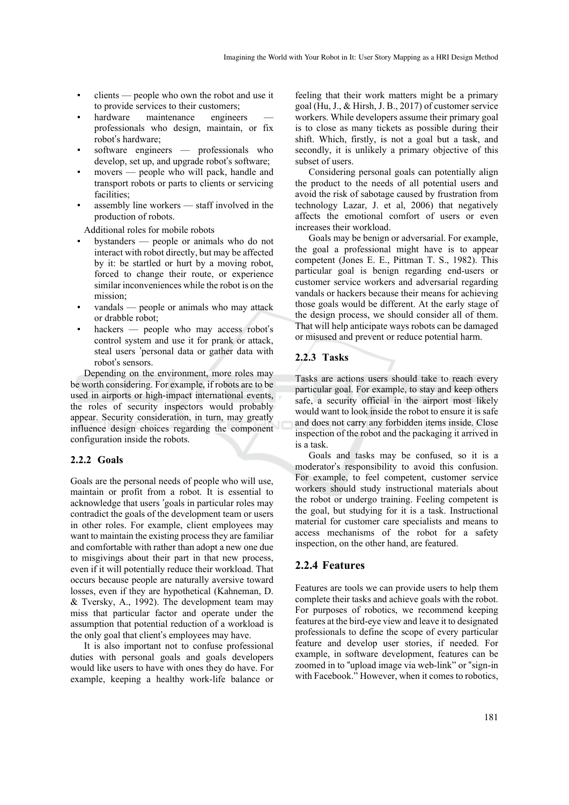- $\text{ clients}$  people who own the robot and use it to provide services to their customers;
- hardware maintenance engineers professionals who design, maintain, or fix robot's hardware;
- $softmax$  engineers professionals who develop, set up, and upgrade robot's software;
- movers people who will pack, handle and transport robots or parts to clients or servicing facilities;
- assembly line workers staff involved in the production of robots.

Additional roles for mobile robots

- bystanders people or animals who do not interact with robot directly, but may be affected by it: be startled or hurt by a moving robot, forced to change their route, or experience similar inconveniences while the robot is on the mission;
- vandals people or animals who may attack or drabble robot;
- $hackers$  people who may access robot's control system and use it for prank or attack, steal users 'personal data or gather data with robot's sensors.

Depending on the environment, more roles may be worth considering. For example, if robots are to be used in airports or high-impact international events, the roles of security inspectors would probably appear. Security consideration, in turn, may greatly influence design choices regarding the component configuration inside the robots.

#### **2.2.2 Goals**

Goals are the personal needs of people who will use, maintain or profit from a robot. It is essential to acknowledge that users 'goals in particular roles may contradict the goals of the development team or users in other roles. For example, client employees may want to maintain the existing process they are familiar and comfortable with rather than adopt a new one due to misgivings about their part in that new process, even if it will potentially reduce their workload. That occurs because people are naturally aversive toward losses, even if they are hypothetical (Kahneman, D. & Tversky, A., 1992). The development team may miss that particular factor and operate under the assumption that potential reduction of a workload is the only goal that client's employees may have.

It is also important not to confuse professional duties with personal goals and goals developers would like users to have with ones they do have. For example, keeping a healthy work-life balance or

feeling that their work matters might be a primary goal (Hu, J., & Hirsh, J. B., 2017) of customer service workers. While developers assume their primary goal is to close as many tickets as possible during their shift. Which, firstly, is not a goal but a task, and secondly, it is unlikely a primary objective of this subset of users.

Considering personal goals can potentially align the product to the needs of all potential users and avoid the risk of sabotage caused by frustration from technology Lazar, J. et al, 2006) that negatively affects the emotional comfort of users or even increases their workload.

Goals may be benign or adversarial. For example, the goal a professional might have is to appear competent (Jones E. E., Pittman T. S., 1982). This particular goal is benign regarding end-users or customer service workers and adversarial regarding vandals or hackers because their means for achieving those goals would be different. At the early stage of the design process, we should consider all of them. That will help anticipate ways robots can be damaged or misused and prevent or reduce potential harm.

### **2.2.3 Tasks**

Tasks are actions users should take to reach every particular goal. For example, to stay and keep others safe, a security official in the airport most likely would want to look inside the robot to ensure it is safe and does not carry any forbidden items inside. Close inspection of the robot and the packaging it arrived in is a task.

Goals and tasks may be confused, so it is a moderator's responsibility to avoid this confusion. For example, to feel competent, customer service workers should study instructional materials about the robot or undergo training. Feeling competent is the goal, but studying for it is a task. Instructional material for customer care specialists and means to access mechanisms of the robot for a safety inspection, on the other hand, are featured.

#### **2.2.4 Features**

Features are tools we can provide users to help them complete their tasks and achieve goals with the robot. For purposes of robotics, we recommend keeping features at the bird-eye view and leave it to designated professionals to define the scope of every particular feature and develop user stories, if needed. For example, in software development, features can be zoomed in to "upload image via web-link" or "sign-in with Facebook." However, when it comes to robotics,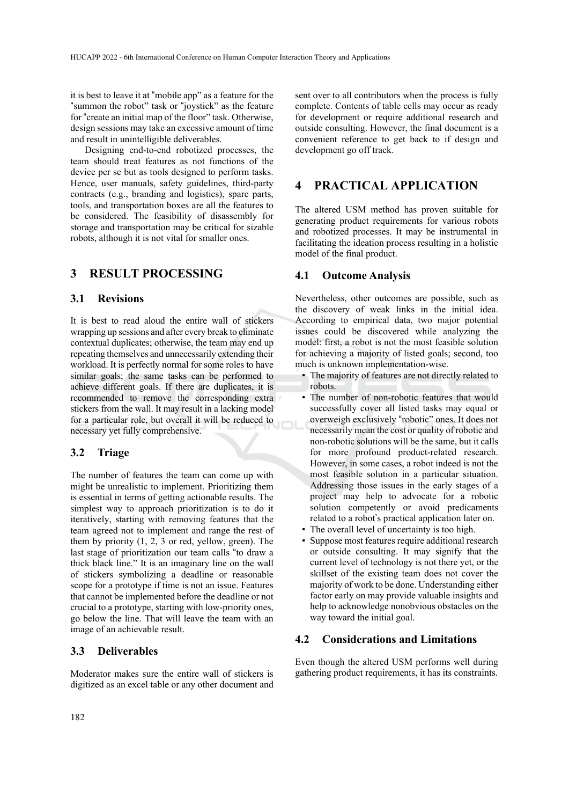it is best to leave it at "mobile app" as a feature for the "summon the robot" task or "joystick" as the feature for "create an initial map of the floor" task. Otherwise, design sessions may take an excessive amount of time and result in unintelligible deliverables.

Designing end-to-end robotized processes, the team should treat features as not functions of the device per se but as tools designed to perform tasks. Hence, user manuals, safety guidelines, third-party contracts (e.g., branding and logistics), spare parts, tools, and transportation boxes are all the features to be considered. The feasibility of disassembly for storage and transportation may be critical for sizable robots, although it is not vital for smaller ones.

#### **3 RESULT PROCESSING**

#### **3.1 Revisions**

It is best to read aloud the entire wall of stickers wrapping up sessions and after every break to eliminate contextual duplicates; otherwise, the team may end up repeating themselves and unnecessarily extending their workload. It is perfectly normal for some roles to have similar goals; the same tasks can be performed to achieve different goals. If there are duplicates, it is recommended to remove the corresponding extra stickers from the wall. It may result in a lacking model for a particular role, but overall it will be reduced to necessary yet fully comprehensive.

#### **3.2 Triage**

The number of features the team can come up with might be unrealistic to implement. Prioritizing them is essential in terms of getting actionable results. The simplest way to approach prioritization is to do it iteratively, starting with removing features that the team agreed not to implement and range the rest of them by priority  $(1, 2, 3)$  or red, yellow, green). The last stage of prioritization our team calls "to draw a thick black line." It is an imaginary line on the wall of stickers symbolizing a deadline or reasonable scope for a prototype if time is not an issue. Features that cannot be implemented before the deadline or not crucial to a prototype, starting with low-priority ones, go below the line. That will leave the team with an image of an achievable result.

#### **3.3 Deliverables**

Moderator makes sure the entire wall of stickers is digitized as an excel table or any other document and

sent over to all contributors when the process is fully complete. Contents of table cells may occur as ready for development or require additional research and outside consulting. However, the final document is a convenient reference to get back to if design and development go off track.

### **4 PRACTICAL APPLICATION**

The altered USM method has proven suitable for generating product requirements for various robots and robotized processes. It may be instrumental in facilitating the ideation process resulting in a holistic model of the final product.

#### **4.1 Outcome Analysis**

Nevertheless, other outcomes are possible, such as the discovery of weak links in the initial idea. According to empirical data, two major potential issues could be discovered while analyzing the model: first, a robot is not the most feasible solution for achieving a majority of listed goals; second, too much is unknown implementation-wise.

- The majority of features are not directly related to robots.
- The number of non-robotic features that would successfully cover all listed tasks may equal or overweigh exclusively "robotic" ones. It does not necessarily mean the cost or quality of robotic and non-robotic solutions will be the same, but it calls for more profound product-related research. However, in some cases, a robot indeed is not the most feasible solution in a particular situation. Addressing those issues in the early stages of a project may help to advocate for a robotic solution competently or avoid predicaments related to a robot's practical application later on.
- The overall level of uncertainty is too high.
- Suppose most features require additional research or outside consulting. It may signify that the current level of technology is not there yet, or the skillset of the existing team does not cover the majority of work to be done. Understanding either factor early on may provide valuable insights and help to acknowledge nonobvious obstacles on the way toward the initial goal.

#### **4.2 Considerations and Limitations**

Even though the altered USM performs well during gathering product requirements, it has its constraints.